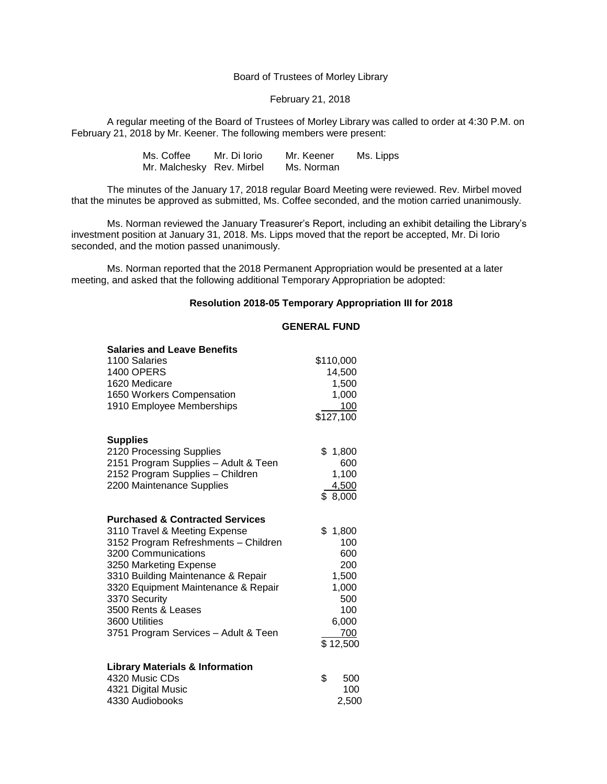Board of Trustees of Morley Library

## February 21, 2018

A regular meeting of the Board of Trustees of Morley Library was called to order at 4:30 P.M. on February 21, 2018 by Mr. Keener. The following members were present:

| Ms. Coffee                | Mr. Di Iorio | Mr. Keener | Ms. Lipps |
|---------------------------|--------------|------------|-----------|
| Mr. Malchesky Rev. Mirbel |              | Ms. Norman |           |

The minutes of the January 17, 2018 regular Board Meeting were reviewed. Rev. Mirbel moved that the minutes be approved as submitted, Ms. Coffee seconded, and the motion carried unanimously.

Ms. Norman reviewed the January Treasurer's Report, including an exhibit detailing the Library's investment position at January 31, 2018. Ms. Lipps moved that the report be accepted, Mr. Di Iorio seconded, and the motion passed unanimously.

Ms. Norman reported that the 2018 Permanent Appropriation would be presented at a later meeting, and asked that the following additional Temporary Appropriation be adopted:

## **Resolution 2018-05 Temporary Appropriation III for 2018**

## **GENERAL FUND**

| <b>Salaries and Leave Benefits</b>         |           |
|--------------------------------------------|-----------|
| 1100 Salaries                              | \$110,000 |
| <b>1400 OPERS</b>                          | 14,500    |
| 1620 Medicare                              | 1,500     |
| 1650 Workers Compensation                  | 1,000     |
| 1910 Employee Memberships                  | 100       |
|                                            | \$127,100 |
| <b>Supplies</b>                            |           |
| 2120 Processing Supplies                   | \$1,800   |
| 2151 Program Supplies - Adult & Teen       | 600       |
| 2152 Program Supplies - Children           | 1,100     |
| 2200 Maintenance Supplies                  | 4,500     |
|                                            | \$8,000   |
| <b>Purchased &amp; Contracted Services</b> |           |
| 3110 Travel & Meeting Expense              | \$1,800   |
| 3152 Program Refreshments - Children       | 100       |
| 3200 Communications                        | 600       |
| 3250 Marketing Expense                     | 200       |
| 3310 Building Maintenance & Repair         | 1,500     |
| 3320 Equipment Maintenance & Repair        | 1,000     |
| 3370 Security                              | 500       |
| 3500 Rents & Leases                        | 100       |
| 3600 Utilities                             | 6,000     |
| 3751 Program Services - Adult & Teen       | 700       |
|                                            | \$12,500  |
| <b>Library Materials &amp; Information</b> |           |
| 4320 Music CDs                             | \$<br>500 |
| 4321 Digital Music                         | 100       |
| 4330 Audiobooks                            | 2,500     |